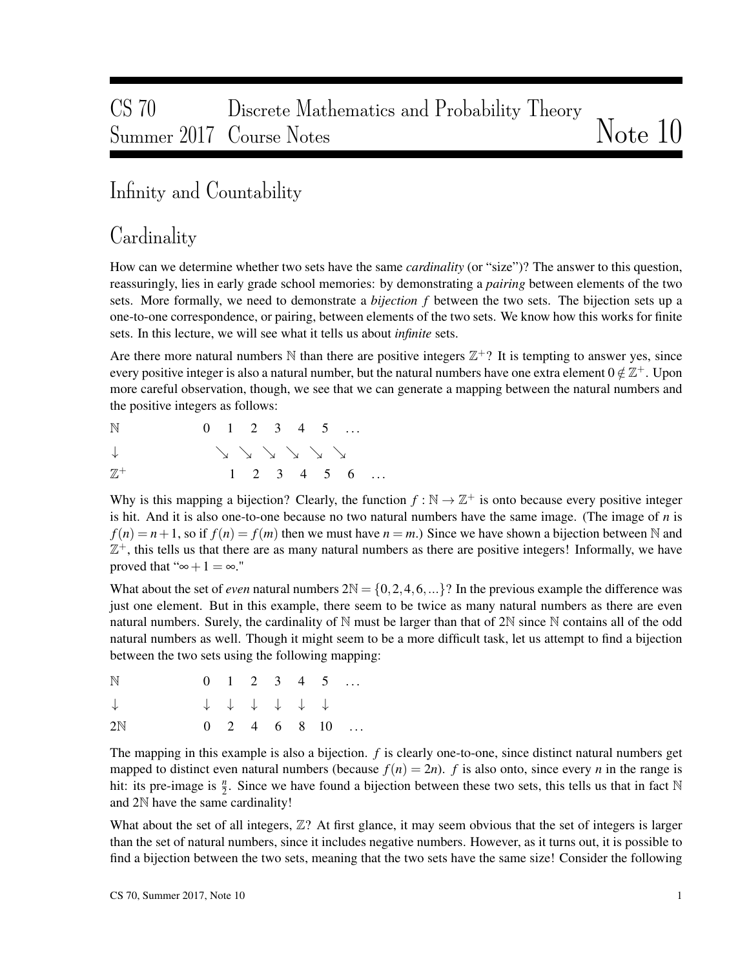# CS 70 Discrete Mathematics and Probability Theory Summer 2017 Course Notes Notes Note 10

### Infinity and Countability

### Cardinality

How can we determine whether two sets have the same *cardinality* (or "size")? The answer to this question, reassuringly, lies in early grade school memories: by demonstrating a *pairing* between elements of the two sets. More formally, we need to demonstrate a *bijection f* between the two sets. The bijection sets up a one-to-one correspondence, or pairing, between elements of the two sets. We know how this works for finite sets. In this lecture, we will see what it tells us about *infinite* sets.

Are there more natural numbers  $\mathbb N$  than there are positive integers  $\mathbb Z^+$ ? It is tempting to answer yes, since every positive integer is also a natural number, but the natural numbers have one extra element  $0 \notin \mathbb{Z}^+$ . Upon more careful observation, though, we see that we can generate a mapping between the natural numbers and the positive integers as follows:

 $N = 0 \quad 1 \quad 2 \quad 3 \quad 4 \quad 5 \quad ...$ 

$$
\downarrow\qquad\qquad\searrow\searrow\searrow\searrow\searrow\searrow
$$

 $\mathbb{Z}^+$  $1 \t2 \t3 \t4 \t5 \t6 \t...$ 

Why is this mapping a bijection? Clearly, the function  $f : \mathbb{N} \to \mathbb{Z}^+$  is onto because every positive integer is hit. And it is also one-to-one because no two natural numbers have the same image. (The image of *n* is  $f(n) = n + 1$ , so if  $f(n) = f(m)$  then we must have  $n = m$ .) Since we have shown a bijection between N and  $\mathbb{Z}^+$ , this tells us that there are as many natural numbers as there are positive integers! Informally, we have proved that " $\infty + 1 = \infty$ ."

What about the set of *even* natural numbers  $2N = \{0, 2, 4, 6, ...\}$ ? In the previous example the difference was just one element. But in this example, there seem to be twice as many natural numbers as there are even natural numbers. Surely, the cardinality of N must be larger than that of 2N since N contains all of the odd natural numbers as well. Though it might seem to be a more difficult task, let us attempt to find a bijection between the two sets using the following mapping:

| N            |  |             |  | $0 \quad 1 \quad 2 \quad 3 \quad 4 \quad 5 \quad \ldots$ |                                                          |
|--------------|--|-------------|--|----------------------------------------------------------|----------------------------------------------------------|
| $\downarrow$ |  | + + + + + + |  |                                                          |                                                          |
| 2N           |  |             |  |                                                          | $0 \quad 2 \quad 4 \quad 6 \quad 8 \quad 10 \quad \dots$ |

The mapping in this example is also a bijection. *f* is clearly one-to-one, since distinct natural numbers get mapped to distinct even natural numbers (because  $f(n) = 2n$ ). *f* is also onto, since every *n* in the range is hit: its pre-image is  $\frac{n}{2}$ . Since we have found a bijection between these two sets, this tells us that in fact N and 2N have the same cardinality!

What about the set of all integers,  $\mathbb{Z}$ ? At first glance, it may seem obvious that the set of integers is larger than the set of natural numbers, since it includes negative numbers. However, as it turns out, it is possible to find a bijection between the two sets, meaning that the two sets have the same size! Consider the following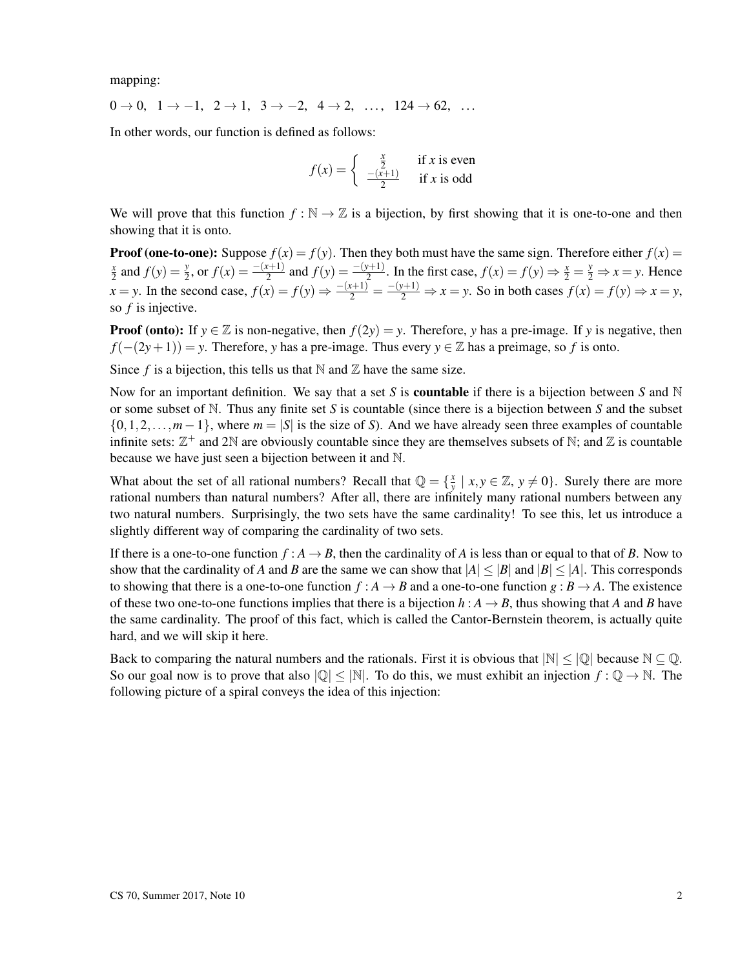mapping:

 $0 \rightarrow 0, 1 \rightarrow -1, 2 \rightarrow 1, 3 \rightarrow -2, 4 \rightarrow 2, \ldots, 124 \rightarrow 62, \ldots$ 

In other words, our function is defined as follows:

$$
f(x) = \begin{cases} \frac{x}{2} & \text{if } x \text{ is even} \\ \frac{-(x+1)}{2} & \text{if } x \text{ is odd} \end{cases}
$$

We will prove that this function  $f : \mathbb{N} \to \mathbb{Z}$  is a bijection, by first showing that it is one-to-one and then showing that it is onto.

**Proof (one-to-one):** Suppose  $f(x) = f(y)$ . Then they both must have the same sign. Therefore either  $f(x) = f(y)$ *x*  $\frac{x}{2}$  and  $f(y) = \frac{y}{2}$ , or  $f(x) = \frac{-(x+1)}{2}$  and  $f(y) = \frac{-(y+1)}{2}$ . In the first case,  $f(x) = f(y) \Rightarrow \frac{x}{2} = \frac{y}{2} \Rightarrow x = y$ . Hence  $x = y$ . In the second case,  $f(x) = f(y) \Rightarrow \frac{-(x+1)}{2} = \frac{-(y+1)}{2} \Rightarrow x = y$ . So in both cases  $f(x) = f(y) \Rightarrow x = y$ , so *f* is injective.

**Proof (onto):** If  $y \in \mathbb{Z}$  is non-negative, then  $f(2y) = y$ . Therefore, *y* has a pre-image. If *y* is negative, then *f*(−(2*y*+1)) = *y*. Therefore, *y* has a pre-image. Thus every *y* ∈ Z has a preimage, so *f* is onto.

Since  $f$  is a bijection, this tells us that  $\mathbb N$  and  $\mathbb Z$  have the same size.

Now for an important definition. We say that a set *S* is **countable** if there is a bijection between *S* and  $\mathbb N$ or some subset of N. Thus any finite set *S* is countable (since there is a bijection between *S* and the subset {0,1,2,...,*m*−1}, where *m* = |*S*| is the size of *S*). And we have already seen three examples of countable infinite sets:  $\mathbb{Z}^+$  and 2N are obviously countable since they are themselves subsets of N; and  $\mathbb Z$  is countable because we have just seen a bijection between it and N.

What about the set of all rational numbers? Recall that  $\mathbb{Q} = \{\frac{x}{v}\}$  $\frac{x}{y} \mid x, y \in \mathbb{Z}, y \neq 0$ . Surely there are more rational numbers than natural numbers? After all, there are infinitely many rational numbers between any two natural numbers. Surprisingly, the two sets have the same cardinality! To see this, let us introduce a slightly different way of comparing the cardinality of two sets.

If there is a one-to-one function  $f : A \to B$ , then the cardinality of A is less than or equal to that of B. Now to show that the cardinality of *A* and *B* are the same we can show that  $|A| \leq |B|$  and  $|B| \leq |A|$ . This corresponds to showing that there is a one-to-one function  $f : A \to B$  and a one-to-one function  $g : B \to A$ . The existence of these two one-to-one functions implies that there is a bijection  $h : A \rightarrow B$ , thus showing that *A* and *B* have the same cardinality. The proof of this fact, which is called the Cantor-Bernstein theorem, is actually quite hard, and we will skip it here.

Back to comparing the natural numbers and the rationals. First it is obvious that  $|\mathbb{N}| \leq |\mathbb{Q}|$  because  $\mathbb{N} \subseteq \mathbb{Q}$ . So our goal now is to prove that also  $|Q| \leq |N|$ . To do this, we must exhibit an injection  $f: Q \to N$ . The following picture of a spiral conveys the idea of this injection: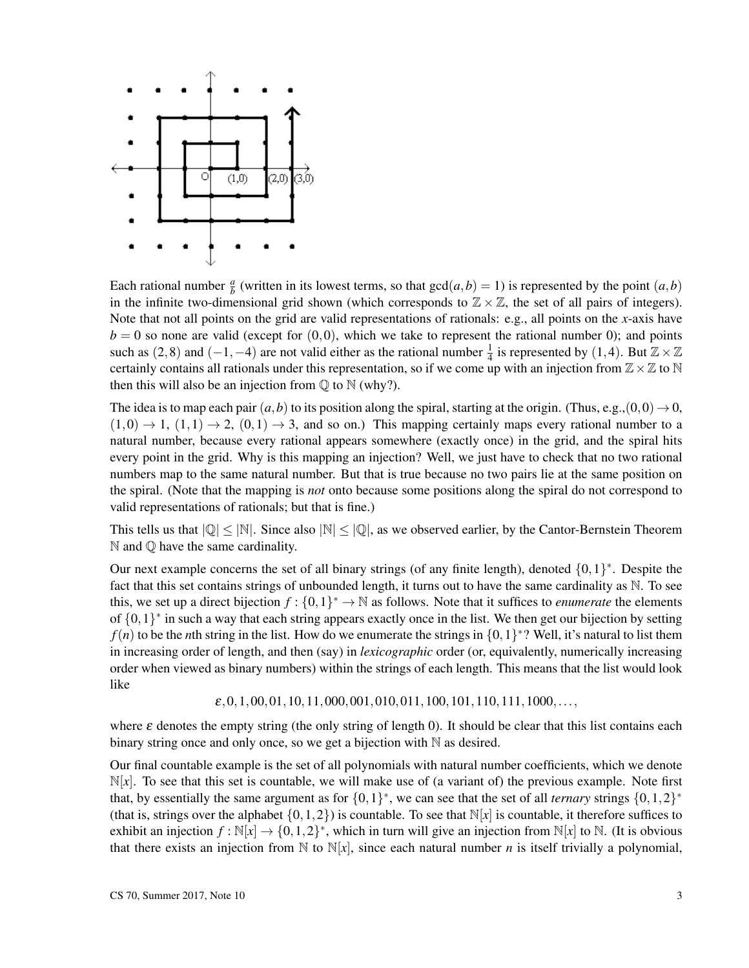

Each rational number  $\frac{a}{b}$  (written in its lowest terms, so that  $gcd(a,b) = 1$ ) is represented by the point  $(a,b)$ in the infinite two-dimensional grid shown (which corresponds to  $\mathbb{Z} \times \mathbb{Z}$ , the set of all pairs of integers). Note that not all points on the grid are valid representations of rationals: e.g., all points on the *x*-axis have  $b = 0$  so none are valid (except for  $(0,0)$ , which we take to represent the rational number 0); and points such as  $(2,8)$  and  $(-1,-4)$  are not valid either as the rational number  $\frac{1}{4}$  is represented by  $(1,4)$ . But  $\mathbb{Z} \times \mathbb{Z}$ certainly contains all rationals under this representation, so if we come up with an injection from  $\mathbb{Z}\times\mathbb{Z}$  to N then this will also be an injection from  $\mathbb{Q}$  to  $\mathbb{N}$  (why?).

The idea is to map each pair  $(a,b)$  to its position along the spiral, starting at the origin. (Thus, e.g.,  $(0,0) \rightarrow 0$ ,  $(1,0) \rightarrow 1$ ,  $(1,1) \rightarrow 2$ ,  $(0,1) \rightarrow 3$ , and so on.) This mapping certainly maps every rational number to a natural number, because every rational appears somewhere (exactly once) in the grid, and the spiral hits every point in the grid. Why is this mapping an injection? Well, we just have to check that no two rational numbers map to the same natural number. But that is true because no two pairs lie at the same position on the spiral. (Note that the mapping is *not* onto because some positions along the spiral do not correspond to valid representations of rationals; but that is fine.)

This tells us that  $|Q| \leq |N|$ . Since also  $|N| \leq |Q|$ , as we observed earlier, by the Cantor-Bernstein Theorem  $\mathbb N$  and  $\mathbb Q$  have the same cardinality.

Our next example concerns the set of all binary strings (of any finite length), denoted  $\{0,1\}^*$ . Despite the fact that this set contains strings of unbounded length, it turns out to have the same cardinality as N. To see this, we set up a direct bijection  $f: \{0,1\}^* \to \mathbb{N}$  as follows. Note that it suffices to *enumerate* the elements of  $\{0,1\}^*$  in such a way that each string appears exactly once in the list. We then get our bijection by setting  $f(n)$  to be the *n*th string in the list. How do we enumerate the strings in  $\{0,1\}^*$ ? Well, it's natural to list them in increasing order of length, and then (say) in *lexicographic* order (or, equivalently, numerically increasing order when viewed as binary numbers) within the strings of each length. This means that the list would look like

 $\varepsilon$ ,0,1,00,01,10,11,000,001,010,011,100,101,110,111,1000,...,

where  $\varepsilon$  denotes the empty string (the only string of length 0). It should be clear that this list contains each binary string once and only once, so we get a bijection with N as desired.

Our final countable example is the set of all polynomials with natural number coefficients, which we denote  $\mathbb{N}[x]$ . To see that this set is countable, we will make use of (a variant of) the previous example. Note first that, by essentially the same argument as for  $\{0,1\}^*$ , we can see that the set of all *ternary* strings  $\{0,1,2\}^*$ (that is, strings over the alphabet  $\{0,1,2\}$ ) is countable. To see that  $\mathbb{N}[x]$  is countable, it therefore suffices to exhibit an injection  $f : \mathbb{N}[x] \to \{0, 1, 2\}^*$ , which in turn will give an injection from  $\mathbb{N}[x]$  to  $\mathbb{N}$ . (It is obvious that there exists an injection from  $\mathbb N$  to  $\mathbb N[x]$ , since each natural number *n* is itself trivially a polynomial,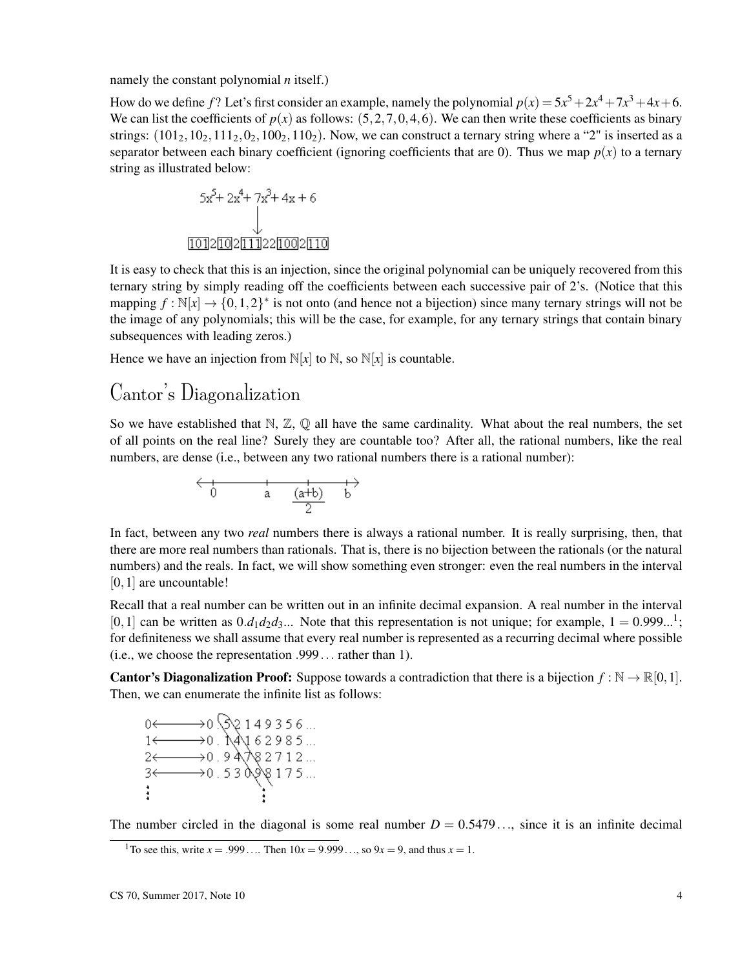namely the constant polynomial *n* itself.)

How do we define f? Let's first consider an example, namely the polynomial  $p(x) = 5x^5 + 2x^4 + 7x^3 + 4x + 6$ . We can list the coefficients of  $p(x)$  as follows:  $(5,2,7,0,4,6)$ . We can then write these coefficients as binary strings:  $(101<sub>2</sub>, 10<sub>2</sub>, 111<sub>2</sub>, 0<sub>2</sub>, 100<sub>2</sub>, 110<sub>2</sub>)$ . Now, we can construct a ternary string where a "2" is inserted as a separator between each binary coefficient (ignoring coefficients that are 0). Thus we map  $p(x)$  to a ternary string as illustrated below:

$$
5x^{5} + 2x^{4} + 7x^{3} + 4x + 6
$$
  
\n
$$
\downarrow
$$
  
\n
$$
1012[102[11]22[1002[110
$$

It is easy to check that this is an injection, since the original polynomial can be uniquely recovered from this ternary string by simply reading off the coefficients between each successive pair of 2's. (Notice that this mapping  $f : \mathbb{N}[x] \to \{0, 1, 2\}^*$  is not onto (and hence not a bijection) since many ternary strings will not be the image of any polynomials; this will be the case, for example, for any ternary strings that contain binary subsequences with leading zeros.)

Hence we have an injection from  $N[x]$  to  $N$ , so  $N[x]$  is countable.

#### Cantor's Diagonalization

So we have established that  $\mathbb{N}, \mathbb{Z}, \mathbb{Q}$  all have the same cardinality. What about the real numbers, the set of all points on the real line? Surely they are countable too? After all, the rational numbers, like the real numbers, are dense (i.e., between any two rational numbers there is a rational number):

$$
\begin{array}{c}\n\leftarrow & +\\
0 & a & \frac{(a+b)}{2} & b\n\end{array}
$$

In fact, between any two *real* numbers there is always a rational number. It is really surprising, then, that there are more real numbers than rationals. That is, there is no bijection between the rationals (or the natural numbers) and the reals. In fact, we will show something even stronger: even the real numbers in the interval [0, 1] are uncountable!

Recall that a real number can be written out in an infinite decimal expansion. A real number in the interval [0,1] can be written as  $0.d_1d_2d_3...$  Note that this representation is not unique; for example,  $1 = 0.999...$ <sup>1</sup>; for definiteness we shall assume that every real number is represented as a recurring decimal where possible (i.e., we choose the representation .999... rather than 1).

**Cantor's Diagonalization Proof:** Suppose towards a contradiction that there is a bijection  $f : \mathbb{N} \to \mathbb{R}[0,1]$ . Then, we can enumerate the infinite list as follows:

 $0 \leftarrow 0.52149356...$ <br>  $1 \leftarrow 0.14162985...$ <br>  $2 \leftarrow 0.94182712...$ <br>  $3 \leftarrow 0.53098175...$ 

The number circled in the diagonal is some real number  $D = 0.5479...$ , since it is an infinite decimal

<sup>&</sup>lt;sup>1</sup>To see this, write  $x = .999...$  Then  $10x = 9.999...$ , so  $9x = 9$ , and thus  $x = 1$ .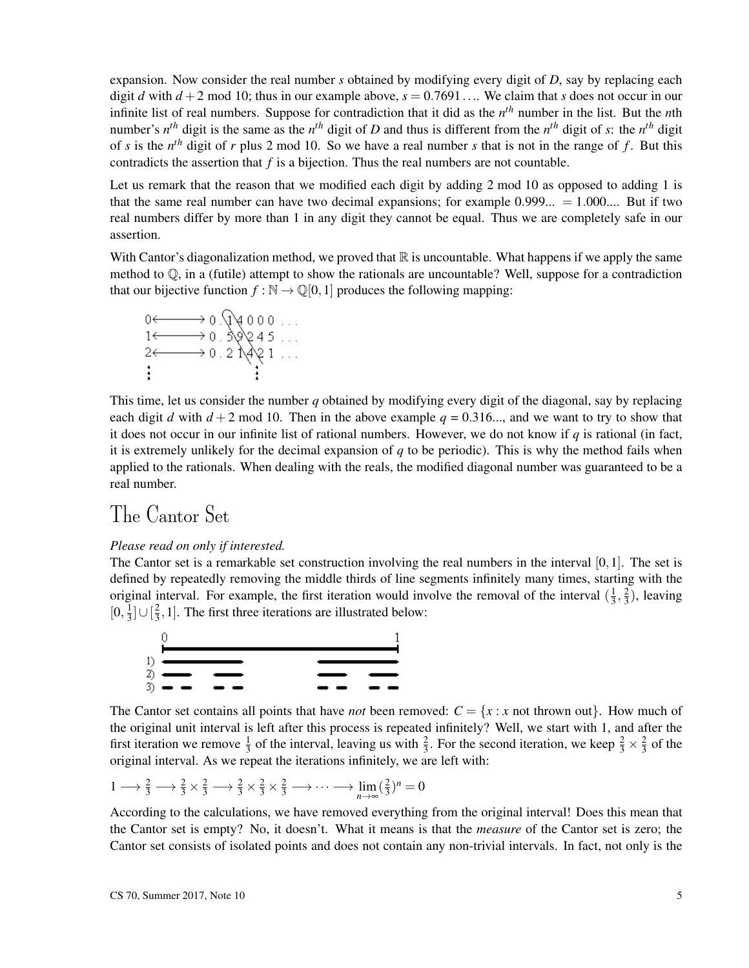expansion. Now consider the real number *s* obtained by modifying every digit of *D*, say by replacing each digit *d* with  $d + 2$  mod 10; thus in our example above,  $s = 0.7691...$  We claim that *s* does not occur in our infinite list of real numbers. Suppose for contradiction that it did as the *n th* number in the list. But the *n*th number's  $n^{th}$  digit is the same as the  $n^{th}$  digit of *D* and thus is different from the  $n^{th}$  digit of *s*: the  $n^{th}$  digit of *s* is the *n th* digit of *r* plus 2 mod 10. So we have a real number *s* that is not in the range of *f* . But this contradicts the assertion that *f* is a bijection. Thus the real numbers are not countable.

Let us remark that the reason that we modified each digit by adding 2 mod 10 as opposed to adding 1 is that the same real number can have two decimal expansions; for example  $0.999... = 1.000...$  But if two real numbers differ by more than 1 in any digit they cannot be equal. Thus we are completely safe in our assertion.

With Cantor's diagonalization method, we proved that  $\mathbb R$  is uncountable. What happens if we apply the same method to  $\mathbb Q$ , in a (futile) attempt to show the rationals are uncountable? Well, suppose for a contradiction that our bijective function  $f : \mathbb{N} \to \mathbb{Q}[0,1]$  produces the following mapping:

$$
0 \leftarrow 0.04000...
$$
  
\n
$$
1 \leftarrow 0.30245...
$$
  
\n
$$
2 \leftarrow 0.21021...
$$
  
\n
$$
\vdots
$$
  
\n
$$
\vdots
$$

This time, let us consider the number *q* obtained by modifying every digit of the diagonal, say by replacing each digit *d* with  $d + 2$  mod 10. Then in the above example  $q = 0.316...$ , and we want to try to show that it does not occur in our infinite list of rational numbers. However, we do not know if *q* is rational (in fact, it is extremely unlikely for the decimal expansion of *q* to be periodic). This is why the method fails when applied to the rationals. When dealing with the reals, the modified diagonal number was guaranteed to be a real number.

### The Cantor Set

#### *Please read on only if interested.*

The Cantor set is a remarkable set construction involving the real numbers in the interval [0,1]. The set is defined by repeatedly removing the middle thirds of line segments infinitely many times, starting with the original interval. For example, the first iteration would involve the removal of the interval  $(\frac{1}{3})$  $\frac{1}{3}, \frac{2}{3}$  $(\frac{2}{3})$ , leaving  $[0, \frac{1}{3}]$  $\frac{1}{3}$ ] $\cup$   $\left[\frac{2}{3}\right]$  $\frac{2}{3}$ , 1]. The first three iterations are illustrated below:



The Cantor set contains all points that have *not* been removed:  $C = \{x : x \text{ not thrown out}\}\$ . How much of the original unit interval is left after this process is repeated infinitely? Well, we start with 1, and after the first iteration we remove  $\frac{1}{3}$  of the interval, leaving us with  $\frac{2}{3}$ . For the second iteration, we keep  $\frac{2}{3} \times \frac{2}{3}$  $rac{2}{3}$  of the original interval. As we repeat the iterations infinitely, we are left with:

$$
1 \longrightarrow \frac{2}{3} \longrightarrow \frac{2}{3} \times \frac{2}{3} \longrightarrow \frac{2}{3} \times \frac{2}{3} \times \frac{2}{3} \longrightarrow \cdots \longrightarrow \lim_{n \to \infty} (\frac{2}{3})^n = 0
$$

According to the calculations, we have removed everything from the original interval! Does this mean that the Cantor set is empty? No, it doesn't. What it means is that the *measure* of the Cantor set is zero; the Cantor set consists of isolated points and does not contain any non-trivial intervals. In fact, not only is the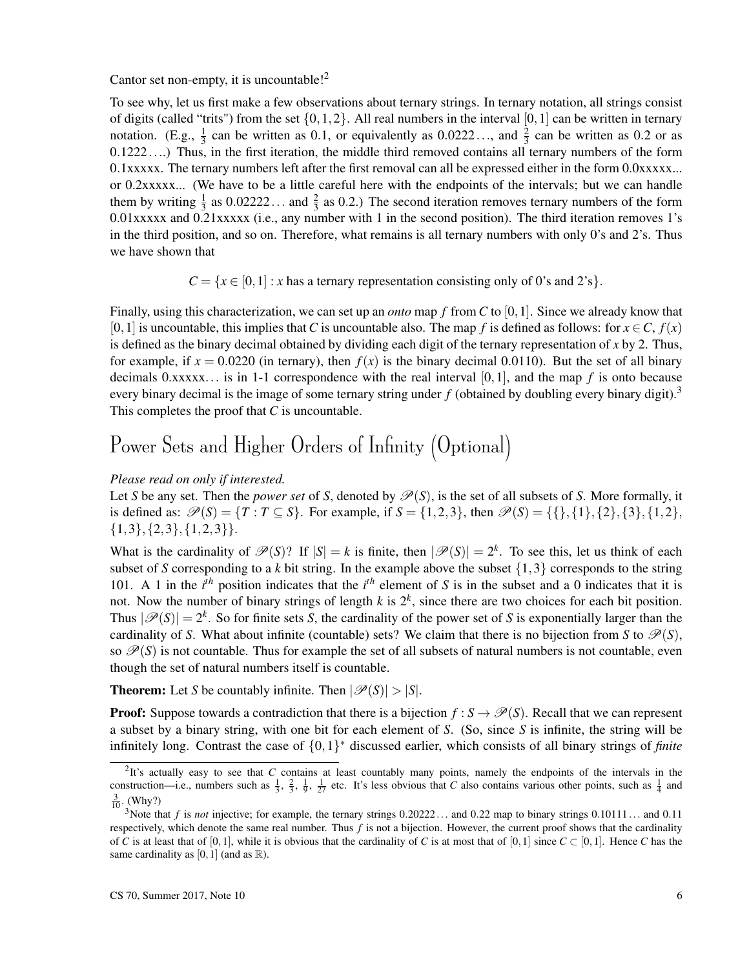#### Cantor set non-empty, it is uncountable!<sup>2</sup>

To see why, let us first make a few observations about ternary strings. In ternary notation, all strings consist of digits (called "trits") from the set  $\{0,1,2\}$ . All real numbers in the interval  $[0,1]$  can be written in ternary notation. (E.g.,  $\frac{1}{3}$  can be written as 0.1, or equivalently as 0.0222..., and  $\frac{2}{3}$  can be written as 0.2 or as 0.1222....) Thus, in the first iteration, the middle third removed contains all ternary numbers of the form 0.1xxxxx. The ternary numbers left after the first removal can all be expressed either in the form 0.0xxxxx... or 0.2xxxxx... (We have to be a little careful here with the endpoints of the intervals; but we can handle them by writing  $\frac{1}{3}$  as 0.02222... and  $\frac{2}{3}$  as 0.2.) The second iteration removes ternary numbers of the form 0.01xxxxx and 0.21xxxxx (i.e., any number with 1 in the second position). The third iteration removes 1's in the third position, and so on. Therefore, what remains is all ternary numbers with only 0's and 2's. Thus we have shown that

 $C = \{x \in [0,1]: x \text{ has a ternary representation consisting only of 0's and 2's}\}.$ 

Finally, using this characterization, we can set up an *onto* map *f* from *C* to [0,1]. Since we already know that [0,1] is uncountable, this implies that *C* is uncountable also. The map *f* is defined as follows: for  $x \in C$ ,  $f(x)$ is defined as the binary decimal obtained by dividing each digit of the ternary representation of *x* by 2. Thus, for example, if  $x = 0.0220$  (in ternary), then  $f(x)$  is the binary decimal 0.0110). But the set of all binary decimals 0.xxxxx... is in 1-1 correspondence with the real interval [0,1], and the map *f* is onto because every binary decimal is the image of some ternary string under  $f$  (obtained by doubling every binary digit).<sup>3</sup> This completes the proof that *C* is uncountable.

## Power Sets and Higher Orders of Infinity (Optional)

#### *Please read on only if interested.*

Let *S* be any set. Then the *power set* of *S*, denoted by  $\mathcal{P}(S)$ , is the set of all subsets of *S*. More formally, it is defined as:  $\mathcal{P}(S) = \{T : T \subseteq S\}$ . For example, if  $S = \{1,2,3\}$ , then  $\mathcal{P}(S) = \{\{\},\{1\},\{2\},\{3\},\{1,2\},\{2\},\{3\},\{1,3\}\}$  $\{1,3\}, \{2,3\}, \{1,2,3\}.$ 

What is the cardinality of  $\mathcal{P}(S)$ ? If  $|S| = k$  is finite, then  $|\mathcal{P}(S)| = 2^k$ . To see this, let us think of each subset of *S* corresponding to a *k* bit string. In the example above the subset  $\{1,3\}$  corresponds to the string 101. A 1 in the  $i<sup>th</sup>$  position indicates that the  $i<sup>th</sup>$  element of *S* is in the subset and a 0 indicates that it is not. Now the number of binary strings of length  $k$  is  $2^k$ , since there are two choices for each bit position. Thus  $|\mathscr{P}(S)| = 2^k$ . So for finite sets *S*, the cardinality of the power set of *S* is exponentially larger than the cardinality of *S*. What about infinite (countable) sets? We claim that there is no bijection from *S* to  $\mathcal{P}(S)$ , so  $\mathcal{P}(S)$  is not countable. Thus for example the set of all subsets of natural numbers is not countable, even though the set of natural numbers itself is countable.

**Theorem:** Let *S* be countably infinite. Then  $|\mathcal{P}(S)| > |S|$ .

**Proof:** Suppose towards a contradiction that there is a bijection  $f : S \to \mathcal{P}(S)$ . Recall that we can represent a subset by a binary string, with one bit for each element of *S*. (So, since *S* is infinite, the string will be infinitely long. Contrast the case of {0,1} <sup>∗</sup> discussed earlier, which consists of all binary strings of *finite*

 $2$ It's actually easy to see that *C* contains at least countably many points, namely the endpoints of the intervals in the construction—i.e., numbers such as  $\frac{1}{3}$ ,  $\frac{2}{3}$ ,  $\frac{1}{9}$ ,  $\frac{1}{27}$  etc. It's less obvious that *C* also contains various other points, such as  $\frac{1}{4}$  and  $\frac{3}{10}$ . (Why?)

<sup>&</sup>lt;sup>3</sup>Note that *f* is *not* injective; for example, the ternary strings 0.20222... and 0.22 map to binary strings 0.10111... and 0.11 respectively, which denote the same real number. Thus  $f$  is not a bijection. However, the current proof shows that the cardinality of *C* is at least that of [0,1], while it is obvious that the cardinality of *C* is at most that of [0,1] since  $C \subset [0,1]$ . Hence *C* has the same cardinality as [0, 1] (and as  $\mathbb{R}$ ).